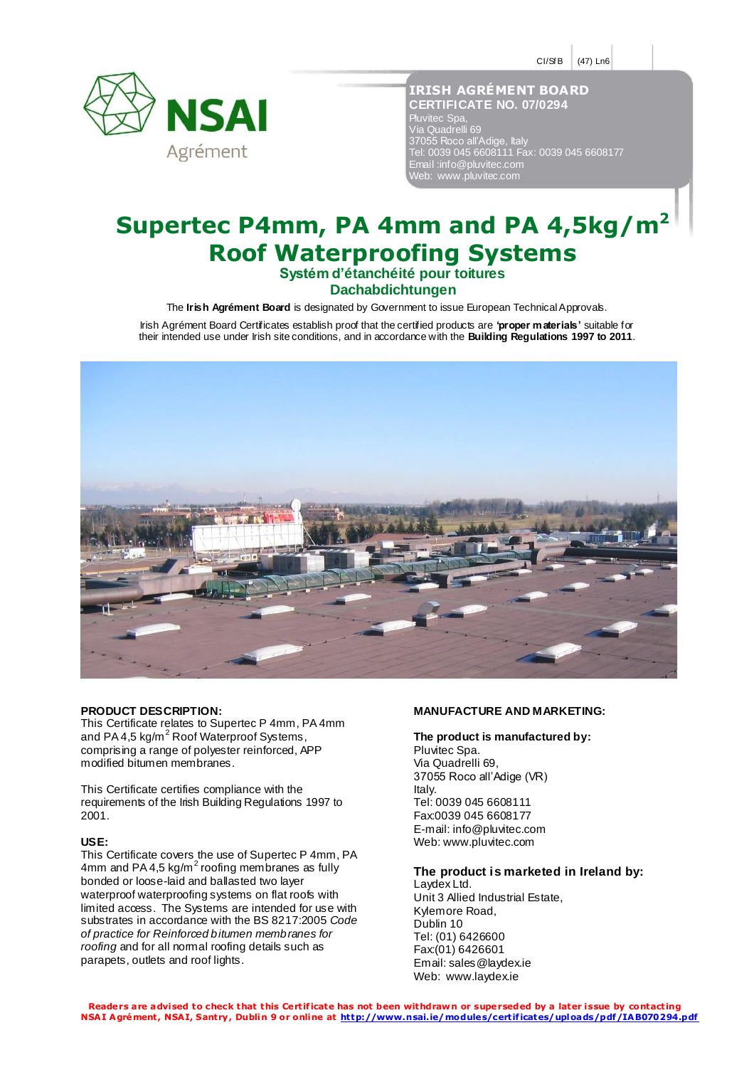$CI/SE$  (47) Ln6



**IRISH AGRÉMENT BOARD CERTIFICATE NO. 07/0294** Pluvitec Spa, Via Quadrelli 69 37055 Roco all'Adige, Italy Tel: 0039 045 6608111 Fax: 0039 045 6608177 Email :info@pluvitec.com Web: www.pluvitec.com I

# **Supertec P4mm, PA 4mm and PA 4,5kg/m<sup>2</sup> Roof Waterproofing Systems**

**Systém d'étanchéité pour toitures Dachabdichtungen**

The **Irish Agrément Board** is designated by Government to issue European Technical Approvals.

Irish Agrément Board Certificates establish proof that the certified products are **'proper materials'** suitable for their intended use under Irish site conditions, and in accordance with the **Building Regulations 1997 to 2011**.



#### **PRODUCT DESCRIPTION:**

This Certificate relates to Supertec P 4mm, PA 4mm and PA 4,5 kg/m<sup>2</sup> Roof Waterproof Systems, comprising a range of polyester reinforced, APP modified bitumen membranes.

This Certificate certifies compliance with the requirements of the Irish Building Regulations 1997 to 2001.

#### **USE:**

This Certificate covers the use of Supertec P 4mm, PA 4mm and PA 4,5 kg/m<sup>2</sup> roofing membranes as fully bonded or loose-laid and ballasted two layer waterproof waterproofing systems on flat roofs with limited access. The Systems are intended for use with substrates in accordance with the BS 8217:2005 *Code of practice for Reinforced bitumen membranes for roofing* and for all normal roofing details such as parapets, outlets and roof lights.

#### **MANUFACTURE AND MARKETING:**

# **The product is manufactured by:**

Pluvitec Spa. Via Quadrelli 69, 37055 Roco all'Adige (VR) Italy. Tel: 0039 045 6608111 Fax:0039 045 6608177 E-mail: info@pluvitec.com Web: www.pluvitec.com

## **The product is marketed in Ireland by:**

Laydex Ltd. Unit 3 Allied Industrial Estate, Kylemore Road, Dublin 10 Tel: (01) 6426600 Fax:(01) 6426601 Email: sales@laydex.ie Web: www.laydex.ie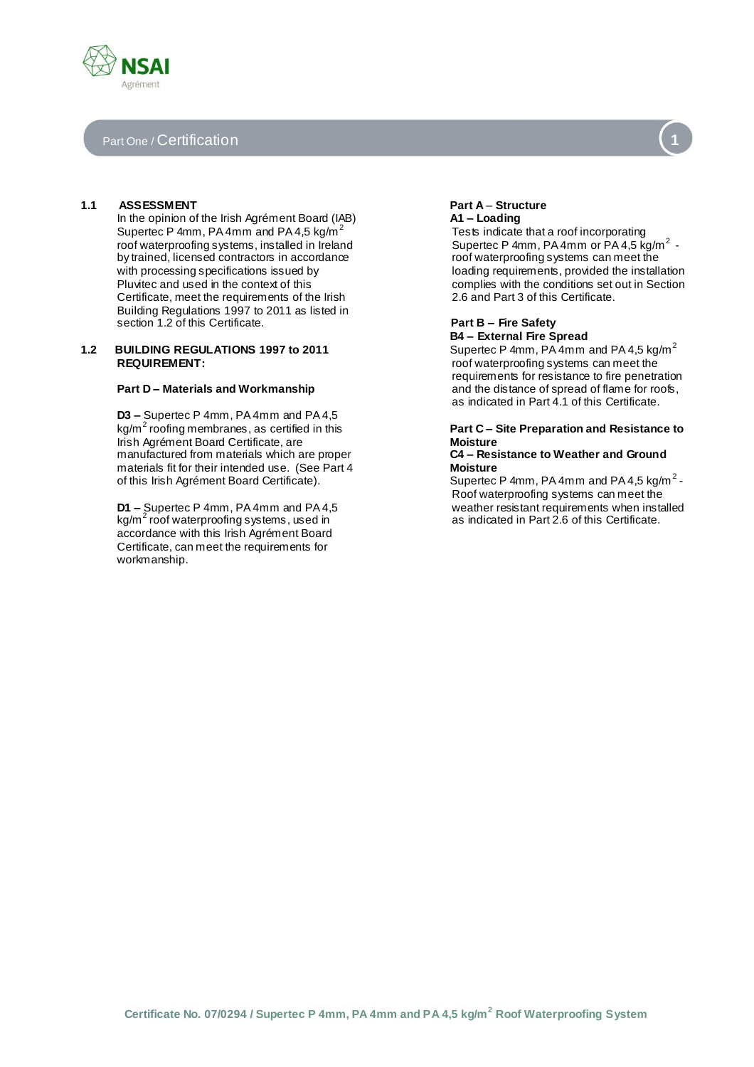# Part One / Certification

## **1.1 ASSESSMENT**

In the opinion of the Irish Agrément Board (IAB) Supertec P 4mm, PA 4mm and PA 4,5 kg/m<sup>2</sup> roof waterproofing systems, installed in Ireland by trained, licensed contractors in accordance with processing specifications issued by Pluvitec and used in the context of this Certificate, meet the requirements of the Irish Building Regulations 1997 to 2011 as listed in section 1.2 of this Certificate.

#### **1.2 BUILDING REGULATIONS 1997 to 2011 REQUIREMENT:**

#### **Part D – Materials and Workmanship**

**D3 –** Supertec P 4mm, PA 4mm and PA 4,5 kg/m<sup>2</sup> roofing membranes, as certified in this Irish Agrément Board Certificate, are manufactured from materials which are proper materials fit for their intended use. (See Part 4 of this Irish Agrément Board Certificate).

**D1 –** Supertec P 4mm, PA 4mm and PA 4,5 kg/m<sup>2</sup> roof waterproofing systems, used in accordance with this Irish Agrément Board Certificate, can meet the requirements for workmanship.

# **Part A** *–* **Structure A1 – Loading**

Tests indicate that a roof incorporating Supertec P 4mm, PA 4mm or PA 4,5  $kg/m<sup>2</sup>$  roof waterproofing systems can meet the loading requirements, provided the installation complies with the conditions set out in Section 2.6 and Part 3 of this Certificate.

# **Part B – Fire Safety B4 – External Fire Spread**

Supertec P 4mm, PA 4mm and PA 4,5 kg/m<sup>2</sup> roof waterproofing systems can meet the requirements for resistance to fire penetration and the distance of spread of flame for roofs, as indicated in Part 4.1 of this Certificate.

# **Part C – Site Preparation and Resistance to Moisture**

### **C4 – Resistance to Weather and Ground Moisture**

Supertec P 4mm, PA 4mm and PA 4,5 kg/m<sup>2</sup> -Roof waterproofing systems can meet the weather resistant requirements when installed as indicated in Part 2.6 of this Certificate.

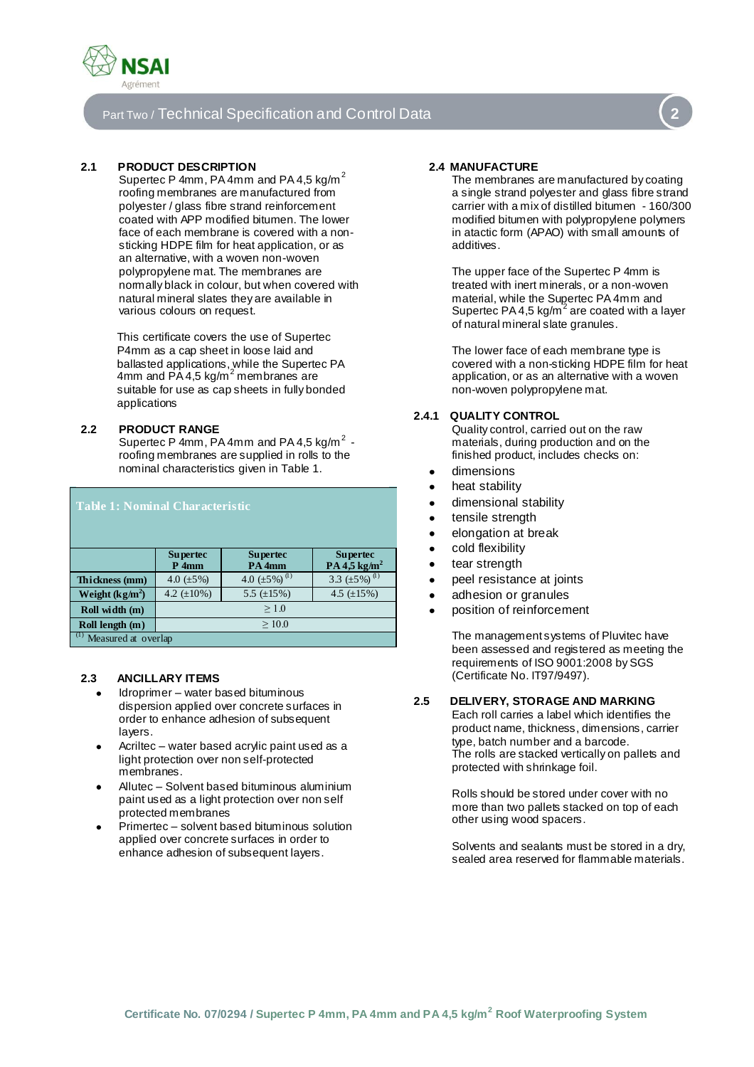

# Part Two / Technical Specification and Control Data **2**



Supertec P 4mm, PA 4mm and PA 4,5 kg/m $^2$ roofing membranes are manufactured from polyester / glass fibre strand reinforcement coated with APP modified bitumen. The lower face of each membrane is covered with a nonsticking HDPE film for heat application, or as an alternative, with a woven non-woven polypropylene mat. The membranes are normally black in colour, but when covered with natural mineral slates they are available in various colours on request.

This certificate covers the use of Supertec P4mm as a cap sheet in loose laid and ballasted applications, while the Supertec PA<br>4mm and PA 4,5 kg/m<sup>2</sup> membranes are suitable for use as cap sheets in fully bonded applications

## **2.2 PRODUCT RANGE**

Supertec P 4mm, PA 4mm and PA 4,5 kg/m $^2$  roofing membranes are supplied in rolls to the nominal characteristics given in Table 1.

| <b>Table 1: Nominal Characteristic</b> |                              |                                      |                                               |  |  |  |
|----------------------------------------|------------------------------|--------------------------------------|-----------------------------------------------|--|--|--|
|                                        | <b>Supertec</b><br>$P_1$ 4mm | <b>Supertec</b><br>PA <sub>4mm</sub> | <b>Supertec</b><br>PA $4,5$ kg/m <sup>2</sup> |  |  |  |
| Thickness (mm)                         | 4.0 $(\pm 5\%)$              | 4.0 $(\pm 5\%)$ <sup>(1)</sup>       | 3.3 $(\pm 5\%)$ <sup>(1)</sup>                |  |  |  |
| Weight $(kg/m^2)$                      | 4.2 $(\pm 10\%)$             | 5.5 $(\pm 15\%)$                     | 4.5 $(\pm 15\%)$                              |  |  |  |
| Roll width (m)                         | $\geq 1.0$                   |                                      |                                               |  |  |  |
| Roll length (m)                        | $\geq 10.0$                  |                                      |                                               |  |  |  |
| (1)<br>Measured at overlap             |                              |                                      |                                               |  |  |  |

# **2.3 ANCILLARY ITEMS**

- Idroprimer water based bituminous dispersion applied over concrete surfaces in order to enhance adhesion of subsequent layers.
- Acriltec water based acrylic paint used as a light protection over non self-protected membranes.
- Allutec Solvent based bituminous aluminium paint used as a light protection over non self protected membranes
- Primertec solvent based bituminous solution applied over concrete surfaces in order to enhance adhesion of subsequent layers.

# **2.4 MANUFACTURE**

The membranes are manufactured by coating a single strand polyester and glass fibre strand carrier with a mix of distilled bitumen - 160/300 modified bitumen with polypropylene polymers in atactic form (APAO) with small amounts of additives.

The upper face of the Supertec P 4mm is treated with inert minerals, or a non-woven material, while the Supertec PA 4mm and Supertec PA 4,5 kg/ $m^2$  are coated with a layer of natural mineral slate granules.

The lower face of each membrane type is covered with a non-sticking HDPE film for heat application, or as an alternative with a woven non-woven polypropylene mat.

# **2.4.1 QUALITY CONTROL**

Quality control, carried out on the raw materials, during production and on the finished product, includes checks on:

- dimensions
- heat stability
- dimensional stability
- tensile strength
- elongation at break
- cold flexibility
- tear strength
- peel resistance at joints
- adhesion or granules
- position of reinforcement

The management systems of Pluvitec have been assessed and registered as meeting the requirements of ISO 9001:2008 by SGS (Certificate No. IT97/9497).

# **2.5 DELIVERY, STORAGE AND MARKING**

Each roll carries a label which identifies the product name, thickness, dimensions, carrier type, batch number and a barcode. The rolls are stacked vertically on pallets and protected with shrinkage foil.

Rolls should be stored under cover with no more than two pallets stacked on top of each other using wood spacers.

Solvents and sealants must be stored in a dry, sealed area reserved for flammable materials.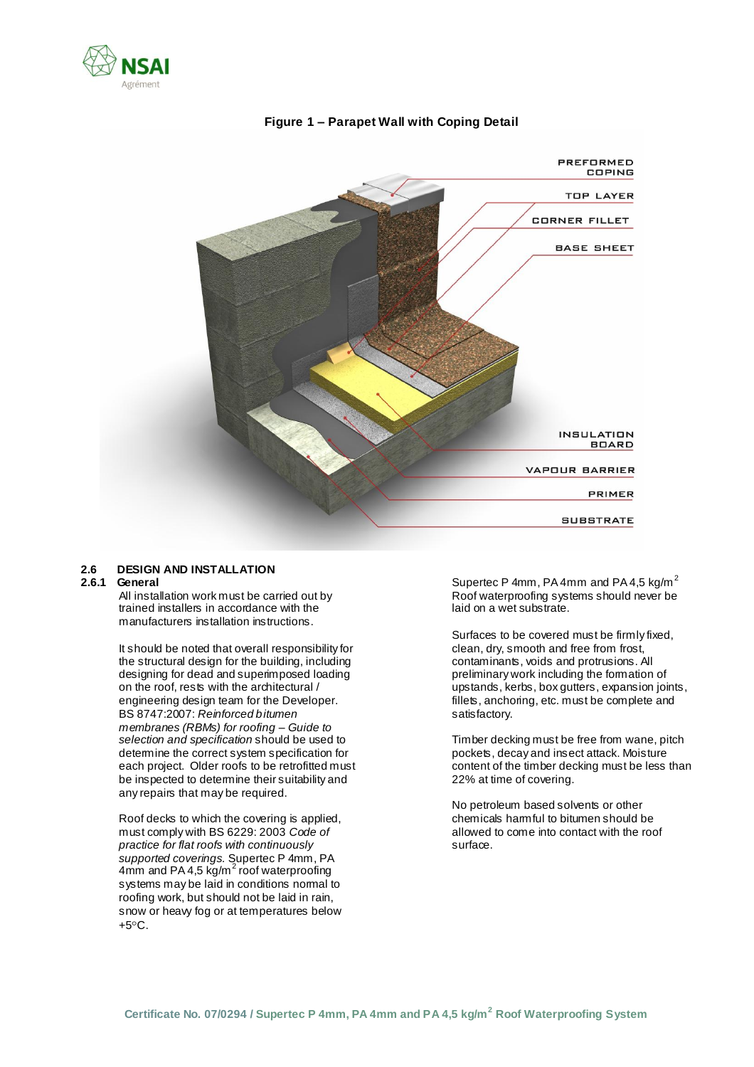



# **Figure 1 – Parapet Wall with Coping Detail**

# **2.6 DESIGN AND INSTALLATION**

#### **2.6.1 General**

All installation work must be carried out by trained installers in accordance with the manufacturers installation instructions.

It should be noted that overall responsibility for the structural design for the building, including designing for dead and superimposed loading on the roof, rests with the architectural / engineering design team for the Developer. BS 8747:2007: *Reinforced bitumen membranes (RBMs) for roofing – Guide to selection and specification* should be used to determine the correct system specification for each project. Older roofs to be retrofitted must be inspected to determine their suitability and any repairs that may be required.

Roof decks to which the covering is applied, must comply with BS 6229: 2003 *Code of practice for flat roofs with continuously supported coverings.* Supertec P 4mm, PA  $4\text{mm}$  and PA 4,5 kg/m<sup>2</sup> roof waterproofing systems may be laid in conditions normal to roofing work, but should not be laid in rain, snow or heavy fog or at temperatures below  $+5^{\circ}$ C.

Supertec P 4mm, PA 4mm and PA 4,5 kg/m<sup>2</sup> Roof waterproofing systems should never be laid on a wet substrate.

Surfaces to be covered must be firmly fixed, clean, dry, smooth and free from frost, contaminants, voids and protrusions. All preliminary work including the formation of upstands, kerbs, box gutters, expansion joints, fillets, anchoring, etc. must be complete and satisfactory.

Timber decking must be free from wane, pitch pockets, decay and insect attack. Moisture content of the timber decking must be less than 22% at time of covering.

No petroleum based solvents or other chemicals harmful to bitumen should be allowed to come into contact with the roof surface.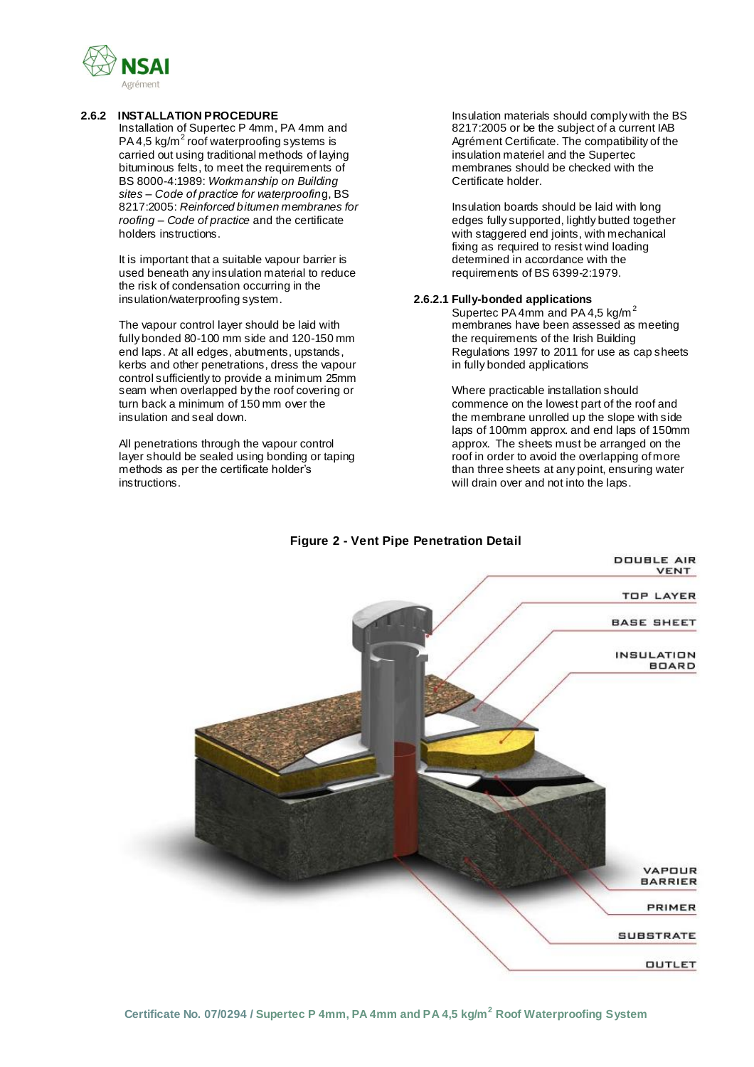

### **2.6.2 INSTALLATION PROCEDURE**

Installation of Supertec P 4mm, PA 4mm and PA 4,5 kg/m<sup>2</sup> roof waterproofing systems is carried out using traditional methods of laying bituminous felts, to meet the requirements of BS 8000-4:1989: *Workmanship on Building sites – Code of practice for waterproofin*g, BS 8217:2005: *Reinforced bitumen membranes for roofing – Code of practice* and the certificate holders instructions.

It is important that a suitable vapour barrier is used beneath any insulation material to reduce the risk of condensation occurring in the insulation/waterproofing system.

The vapour control layer should be laid with fully bonded 80-100 mm side and 120-150 mm end laps. At all edges, abutments, upstands, kerbs and other penetrations, dress the vapour control sufficiently to provide a minimum 25mm seam when overlapped by the roof covering or turn back a minimum of 150 mm over the insulation and seal down.

All penetrations through the vapour control layer should be sealed using bonding or taping methods as per the certificate holder's instructions.

Insulation materials should comply with the BS 8217:2005 or be the subject of a current IAB Agrément Certificate. The compatibility of the insulation materiel and the Supertec membranes should be checked with the Certificate holder.

Insulation boards should be laid with long edges fully supported, lightly butted together with staggered end joints, with mechanical fixing as required to resist wind loading determined in accordance with the requirements of BS 6399-2:1979.

## **2.6.2.1 Fully-bonded applications**

Supertec PA 4mm and PA 4,5 kg/m<sup>2</sup> membranes have been assessed as meeting the requirements of the Irish Building Regulations 1997 to 2011 for use as cap sheets in fully bonded applications

Where practicable installation should commence on the lowest part of the roof and the membrane unrolled up the slope with side laps of 100mm approx. and end laps of 150mm approx. The sheets must be arranged on the roof in order to avoid the overlapping of more than three sheets at any point, ensuring water will drain over and not into the laps.



# **Figure 2 - Vent Pipe Penetration Detail**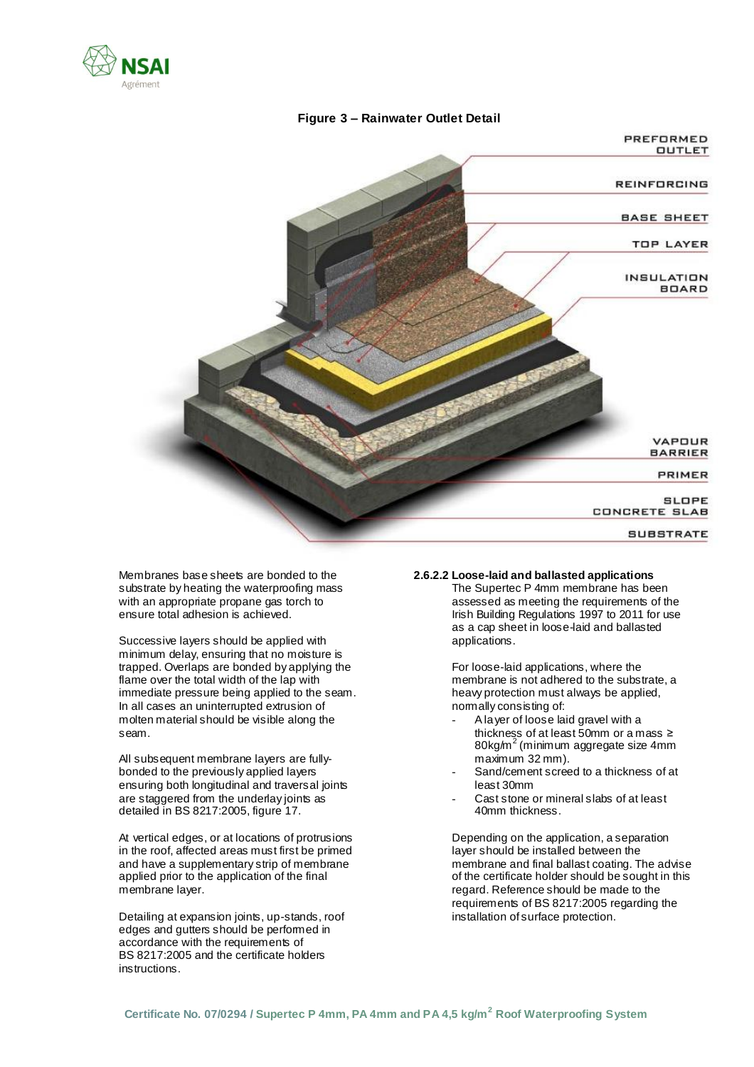





Membranes base sheets are bonded to the substrate by heating the waterproofing mass with an appropriate propane gas torch to ensure total adhesion is achieved.

Successive layers should be applied with minimum delay, ensuring that no moisture is trapped. Overlaps are bonded by applying the flame over the total width of the lap with immediate pressure being applied to the seam. In all cases an uninterrupted extrusion of molten material should be visible along the seam.

All subsequent membrane layers are fullybonded to the previously applied layers ensuring both longitudinal and traversal joints are staggered from the underlay joints as detailed in BS 8217:2005, figure 17.

At vertical edges, or at locations of protrusions in the roof, affected areas must first be primed and have a supplementary strip of membrane applied prior to the application of the final membrane layer.

Detailing at expansion joints, up-stands, roof edges and gutters should be performed in accordance with the requirements of BS 8217:2005 and the certificate holders instructions.

# **2.6.2.2 Loose-laid and ballasted applications**

The Supertec P 4mm membrane has been assessed as meeting the requirements of the Irish Building Regulations 1997 to 2011 for use as a cap sheet in loose-laid and ballasted applications.

For loose-laid applications, where the membrane is not adhered to the substrate, a heavy protection must always be applied, normally consisting of:

- A layer of loose laid gravel with a thickness of at least 50mm or a mass ≥ 80kg/m<sup>2</sup> (minimum aggregate size 4mm maximum 32 mm).
- Sand/cement screed to a thickness of at least 30mm
- Cast stone or mineral slabs of at least 40mm thickness.

Depending on the application, a separation layer should be installed between the membrane and final ballast coating. The advise of the certificate holder should be sought in this regard. Reference should be made to the requirements of BS 8217:2005 regarding the installation of surface protection.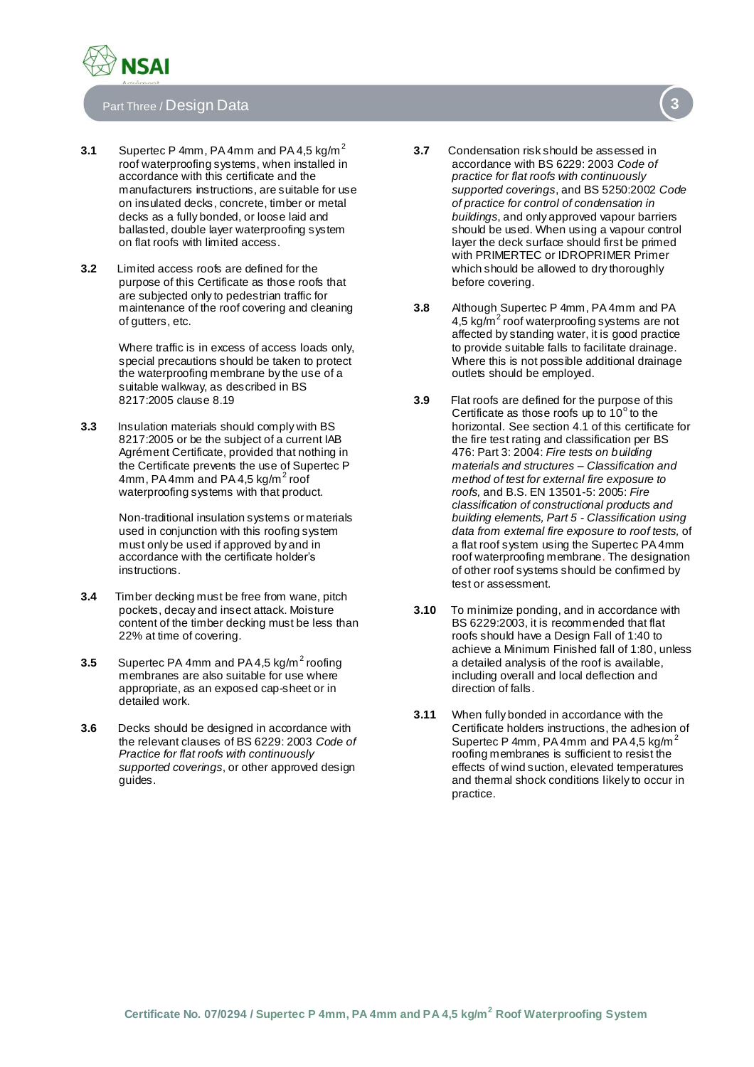

# Part Three / Design Data **3**

- **3.1** Supertec P 4mm, PA 4mm and PA 4,5 kg/m<sup>2</sup> roof waterproofing systems, when installed in accordance with this certificate and the manufacturers instructions, are suitable for use on insulated decks, concrete, timber or metal decks as a fully bonded, or loose laid and ballasted, double layer waterproofing system on flat roofs with limited access.
- **3.2** Limited access roofs are defined for the purpose of this Certificate as those roofs that are subjected only to pedestrian traffic for maintenance of the roof covering and cleaning of gutters, etc.

Where traffic is in excess of access loads only, special precautions should be taken to protect the waterproofing membrane by the use of a suitable walkway, as described in BS 8217:2005 clause 8.19

**3.3** Insulation materials should comply with BS 8217:2005 or be the subject of a current IAB Agrément Certificate, provided that nothing in the Certificate prevents the use of Supertec P 4mm, PA 4mm and PA 4,5 kg/m<sup>2</sup> roof waterproofing systems with that product.

> Non-traditional insulation systems or materials used in conjunction with this roofing system must only be used if approved by and in accordance with the certificate holder's instructions.

- **3.4** Timber decking must be free from wane, pitch pockets, decay and insect attack. Moisture content of the timber decking must be less than 22% at time of covering.
- **3.5** Supertec PA 4mm and PA 4,5 kg/m<sup>2</sup> roofing membranes are also suitable for use where appropriate, as an exposed cap-sheet or in detailed work.
- **3.6** Decks should be designed in accordance with the relevant clauses of BS 6229: 2003 *Code of Practice for flat roofs with continuously supported coverings*, or other approved design guides.
- **3.7** Condensation risk should be assessed in accordance with BS 6229: 2003 *Code of practice for flat roofs with continuously supported coverings*, and BS 5250:2002 *Code of practice for control of condensation in buildings*, and only approved vapour barriers should be used. When using a vapour control layer the deck surface should first be primed with PRIMERTEC or IDROPRIMER Primer which should be allowed to dry thoroughly before covering.
- **3.8** Although Supertec P 4mm, PA 4mm and PA 4,5 kg/ $m^2$  roof waterproofing systems are not affected by standing water, it is good practice to provide suitable falls to facilitate drainage. Where this is not possible additional drainage outlets should be employed.
- **3.9** Flat roofs are defined for the purpose of this Certificate as those roofs up to  $10^{\circ}$  to the horizontal. See section 4.1 of this certificate for the fire test rating and classification per BS 476: Part 3: 2004: *Fire tests on building materials and structures – Classification and method of test for external fire exposure to roofs,* and B.S. EN 13501-5: 2005: *Fire classification of constructional products and building elements, Part 5 - Classification using data from external fire exposure to roof tests,* of a flat roof system using the Supertec PA 4mm roof waterproofing membrane. The designation of other roof systems should be confirmed by test or assessment.
- **3.10** To minimize ponding, and in accordance with BS 6229:2003, it is recommended that flat roofs should have a Design Fall of 1:40 to achieve a Minimum Finished fall of 1:80, unless a detailed analysis of the roof is available, including overall and local deflection and direction of falls.
- **3.11** When fully bonded in accordance with the Certificate holders instructions, the adhesion of Supertec P 4mm, PA 4mm and PA 4,5 kg/m<sup>2</sup> roofing membranes is sufficient to resist the effects of wind suction, elevated temperatures and thermal shock conditions likely to occur in practice.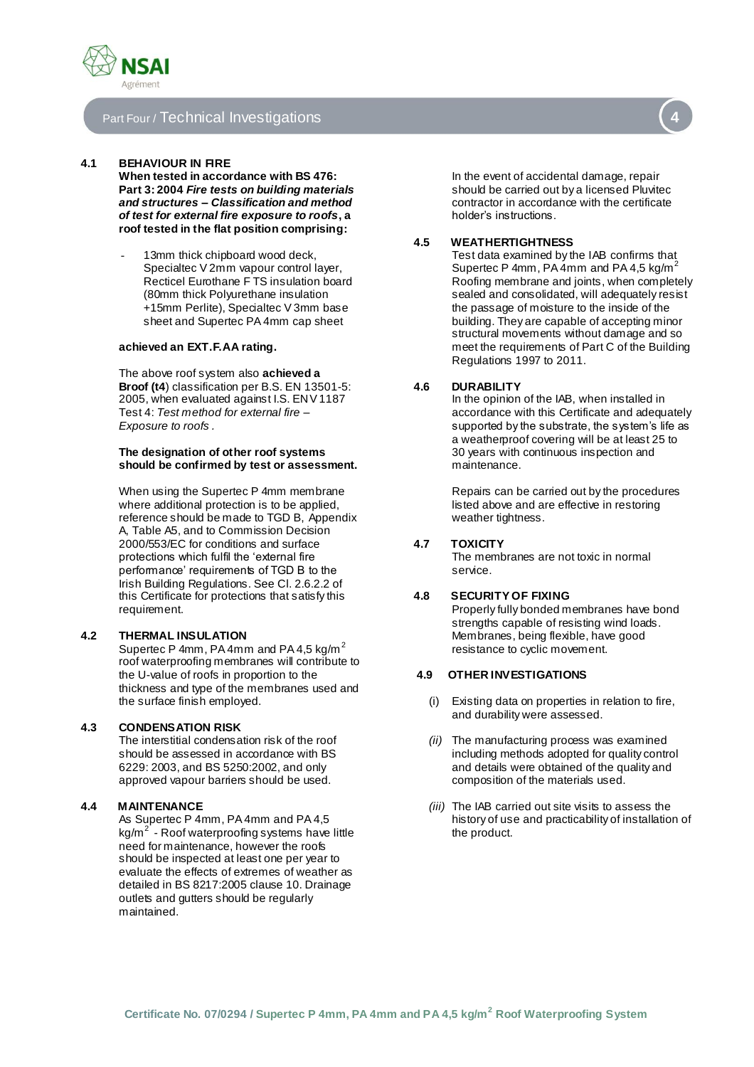

# Part Four / Technical Investigations

#### **4.1 BEHAVIOUR IN FIRE**

**When tested in accordance with BS 476: Part 3: 2004** *Fire tests on building materials and structures – Classification and method of test for external fire exposure to roofs***, a roof tested in the flat position comprising:**

13mm thick chipboard wood deck, Specialtec V 2mm vapour control layer, Recticel Eurothane F TS insulation board (80mm thick Polyurethane insulation +15mm Perlite), Specialtec V 3mm base sheet and Supertec PA 4mm cap sheet

#### **achieved an EXT.F.AA rating.**

The above roof system also **achieved a Broof (t4**) classification per B.S. EN 13501-5: 2005, when evaluated against I.S. ENV 1187 Test 4: *Test method for external fire – Exposure to roofs .* 

#### **The designation of other roof systems should be confirmed by test or assessment.**

When using the Supertec P 4mm membrane where additional protection is to be applied, reference should be made to TGD B, Appendix A, Table A5, and to Commission Decision 2000/553/EC for conditions and surface protections which fulfil the 'external fire performance' requirements of TGD B to the Irish Building Regulations. See Cl. 2.6.2.2 of this Certificate for protections that satisfy this requirement.

#### **4.2 THERMAL INSULATION**

Supertec P 4mm, PA 4mm and PA 4,5 kg/m $^2$ roof waterproofing membranes will contribute to the U-value of roofs in proportion to the thickness and type of the membranes used and the surface finish employed.

#### **4.3 CONDENSATION RISK**

The interstitial condensation risk of the roof should be assessed in accordance with BS 6229: 2003, and BS 5250:2002, and only approved vapour barriers should be used.

#### **4.4 MAINTENANCE**

As Supertec P 4mm, PA 4mm and PA 4,5 kg/m<sup>2</sup> - Roof waterproofing systems have little need for maintenance, however the roofs should be inspected at least one per year to evaluate the effects of extremes of weather as detailed in BS 8217:2005 clause 10. Drainage outlets and gutters should be regularly maintained.

In the event of accidental damage, repair should be carried out by a licensed Pluvitec contractor in accordance with the certificate holder's instructions.

### **4.5 WEATHERTIGHTNESS**

Test data examined by the IAB confirms that Supertec P 4mm, PA 4mm and PA 4,5 kg/m<sup>2</sup> Roofing membrane and joints, when completely sealed and consolidated, will adequately resist the passage of moisture to the inside of the building. They are capable of accepting minor structural movements without damage and so meet the requirements of Part C of the Building Regulations 1997 to 2011.

#### **4.6 DURABILITY**

In the opinion of the IAB, when installed in accordance with this Certificate and adequately supported by the substrate, the system's life as a weatherproof covering will be at least 25 to 30 years with continuous inspection and maintenance.

Repairs can be carried out by the procedures listed above and are effective in restoring weather tightness.

#### **4.7 TOXICITY**

The membranes are not toxic in normal service.

#### **4.8 SECURITY OF FIXING**

Properly fully bonded membranes have bond strengths capable of resisting wind loads. Membranes, being flexible, have good resistance to cyclic movement.

#### **4.9 OTHER INVESTIGATIONS**

- (i) Existing data on properties in relation to fire, and durability were assessed.
- *(ii)* The manufacturing process was examined including methods adopted for quality control and details were obtained of the quality and composition of the materials used.
- *(iii)* The IAB carried out site visits to assess the history of use and practicability of installation of the product.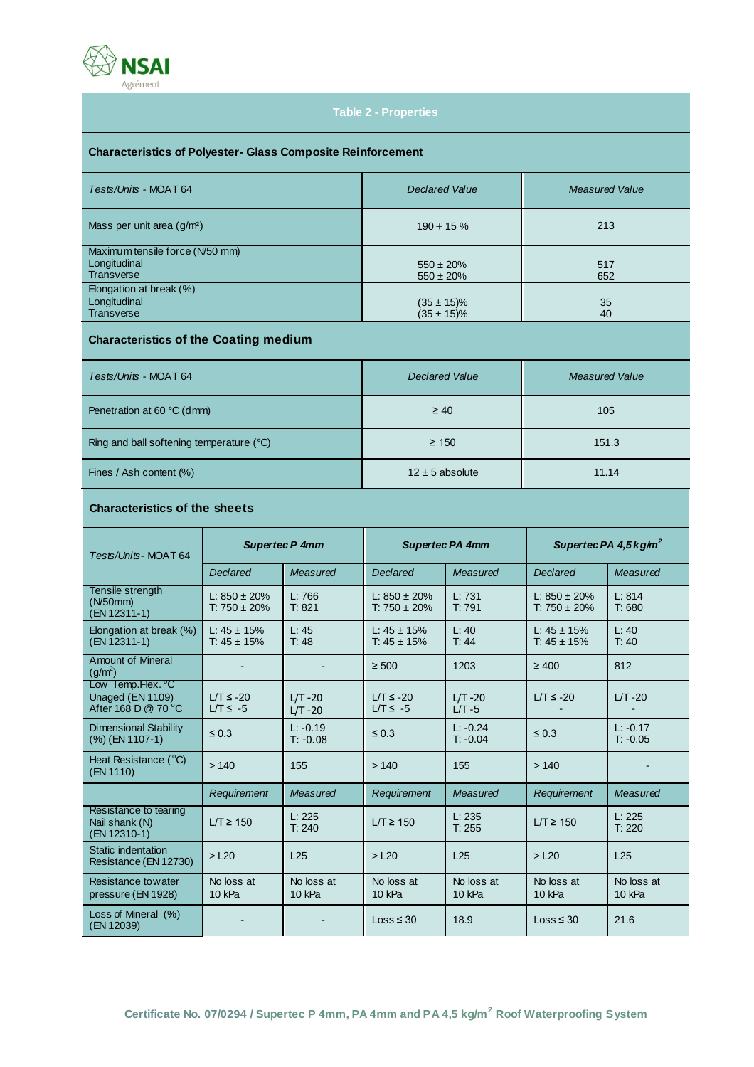

# **Table 2 - Properties**

# **Characteristics of Polyester- Glass Composite Reinforcement**

| Tests/Units - MOAT 64           | <b>Declared Value</b> | <b>Measured Value</b> |  |
|---------------------------------|-----------------------|-----------------------|--|
| Mass per unit area $(g/m2)$     | $190 \pm 15 \%$       | 213                   |  |
| Maximum tensile force (N/50 mm) |                       |                       |  |
| Longitudinal                    | $550 \pm 20\%$        | 517                   |  |
| Transverse                      | $550 \pm 20\%$        | 652                   |  |
| Elongation at break (%)         |                       |                       |  |
| Longitudinal                    | $(35 \pm 15)\%$       | 35                    |  |
| Transverse                      | $(35 \pm 15)\%$       | 40                    |  |

# **Characteristics of the Coating medium**

| Tests/Units - MOAT 64                    | <b>Declared Value</b> | <b>Measured Value</b> |  |
|------------------------------------------|-----------------------|-----------------------|--|
| Penetration at 60 °C (dmm)               | $\geq 40$             | 105                   |  |
| Ring and ball softening temperature (°C) | $\geq 150$            | 151.3                 |  |
| Fines / Ash content (%)                  | $12 \pm 5$ absolute   | 11.14                 |  |

# **Characteristics of the sheets**

| Tests/Units-MOAT64                                          | <b>Supertec P 4mm</b>                  |                          | <b>Supertec PA 4mm</b>                 |                          | Supertec PA 4.5 $kg/m2$                |                          |
|-------------------------------------------------------------|----------------------------------------|--------------------------|----------------------------------------|--------------------------|----------------------------------------|--------------------------|
|                                                             | <b>Declared</b>                        | Measured                 | Declared                               | Measured                 | <b>Declared</b>                        | Measured                 |
| Tensile strength<br>(N50mm)<br>(EN 12311-1)                 | L: $850 \pm 20\%$<br>$T: 750 \pm 20\%$ | L: 766<br>T: 821         | L: $850 \pm 20\%$<br>T: $750 \pm 20\%$ | L: 731<br>T: 791         | L: $850 \pm 20\%$<br>$T: 750 \pm 20\%$ | L: 814<br>T: 680         |
| Elongation at break (%)<br>(EN 12311-1)                     | L: $45 \pm 15\%$<br>T: $45 \pm 15\%$   | L:45<br>T: 48            | L: $45 \pm 15\%$<br>T: $45 \pm 15\%$   | L: 40<br>T: 44           | L: $45 \pm 15\%$<br>T: $45 \pm 15\%$   | L: 40<br>T: 40           |
| <b>Amount of Mineral</b><br>$(g/m^2)$                       |                                        |                          | $\geq 500$                             | 1203                     | $\geq 400$                             | 812                      |
| Low Temp.Flex. C<br>Unaged (EN 1109)<br>After 168 D @ 70 °C | $LT \le -20$<br>$LT \le -5$            | $LT -20$<br>$LT -20$     | $LT \le -20$<br>$LT \le -5$            | $LT -20$<br>$LT - 5$     | $LT \le -20$                           | $LT - 20$                |
| Dimensional Stability<br>(%) (EN 1107-1)                    | $\leq 0.3$                             | $L: -0.19$<br>$T: -0.08$ | $\leq 0.3$                             | $L: -0.24$<br>$T: -0.04$ | $\leq 0.3$                             | $L: -0.17$<br>$T: -0.05$ |
| Heat Resistance (°C)<br>(EN 1110)                           | >140                                   | 155                      | >140                                   | 155                      | >140                                   |                          |
|                                                             | Requirement                            | Measured                 | Requirement                            | Measured                 | Requirement                            | Measured                 |
| Resistance to tearing<br>Nail shank (N)<br>(EN 12310-1)     | $LT \geq 150$                          | L: 225<br>T: 240         | $LT \geq 150$                          | L: 235<br>T: 255         | $LT \geq 150$                          | L: 225<br>T: 220         |
| Static indentation<br>Resistance (EN 12730)                 | $>$ L <sub>20</sub>                    | L25                      | $>$ L <sub>20</sub>                    | L25                      | $>$ L <sub>20</sub>                    | L25                      |
| Resistance towater<br>pressure (EN 1928)                    | No loss at<br>10 kPa                   | No loss at<br>10 kPa     | No loss at<br>10 kPa                   | No loss at<br>10 kPa     | No loss at<br>10 kPa                   | No loss at<br>10 kPa     |
| Loss of Mineral (%)<br>(EN 12039)                           |                                        |                          | $Loss \leq 30$                         | 18.9                     | $Loss \leq 30$                         | 21.6                     |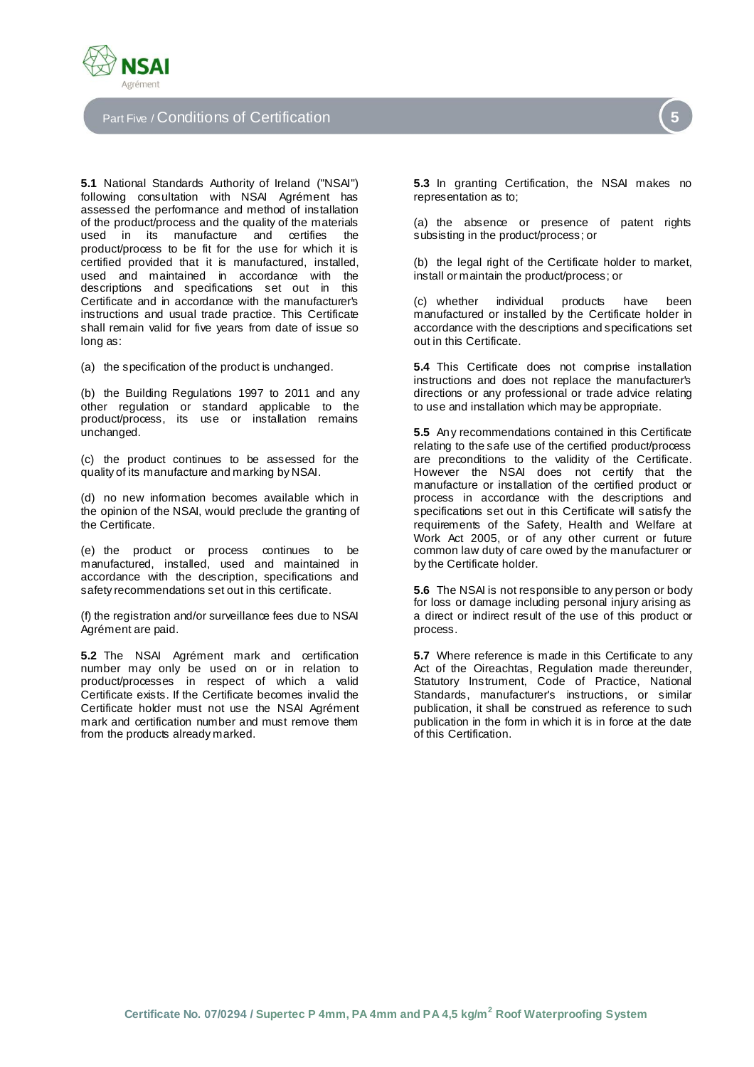

# Part Five / Conditions of Certification **5**

**5.1** National Standards Authority of Ireland ("NSAI") following consultation with NSAI Agrément has assessed the performance and method of installation of the product/process and the quality of the materials<br>used in its manufacture and certifies the used in its manufacture and certifies product/process to be fit for the use for which it is certified provided that it is manufactured, installed, used and maintained in accordance with the descriptions and specifications set out in this Certificate and in accordance with the manufacturer's instructions and usual trade practice. This Certificate shall remain valid for five years from date of issue so long as:

(a) the specification of the product is unchanged.

(b) the Building Regulations 1997 to 2011 and any other regulation or standard applicable to the product/process, its use or installation remains unchanged.

(c) the product continues to be assessed for the quality of its manufacture and marking by NSAI.

(d) no new information becomes available which in the opinion of the NSAI, would preclude the granting of the Certificate.

(e) the product or process continues to be manufactured, installed, used and maintained in accordance with the description, specifications and safety recommendations set out in this certificate.

(f) the registration and/or surveillance fees due to NSAI Agrément are paid.

**5.2** The NSAI Agrément mark and certification number may only be used on or in relation to product/processes in respect of which a valid Certificate exists. If the Certificate becomes invalid the Certificate holder must not use the NSAI Agrément mark and certification number and must remove them from the products already marked.

**5.3** In granting Certification, the NSAI makes no representation as to;

(a) the absence or presence of patent rights subsisting in the product/process; or

(b) the legal right of the Certificate holder to market, install or maintain the product/process; or

(c) whether individual products have been manufactured or installed by the Certificate holder in accordance with the descriptions and specifications set out in this Certificate.

**5.4** This Certificate does not comprise installation instructions and does not replace the manufacturer's directions or any professional or trade advice relating to use and installation which may be appropriate.

**5.5** Any recommendations contained in this Certificate relating to the safe use of the certified product/process are preconditions to the validity of the Certificate. However the NSAI does not certify that the manufacture or installation of the certified product or process in accordance with the descriptions and specifications set out in this Certificate will satisfy the requirements of the Safety, Health and Welfare at Work Act 2005, or of any other current or future common law duty of care owed by the manufacturer or by the Certificate holder.

**5.6** The NSAI is not responsible to any person or body for loss or damage including personal injury arising as a direct or indirect result of the use of this product or process.

**5.7** Where reference is made in this Certificate to any Act of the Oireachtas, Regulation made thereunder, Statutory Instrument, Code of Practice, National Standards, manufacturer's instructions, or similar publication, it shall be construed as reference to such publication in the form in which it is in force at the date of this Certification.